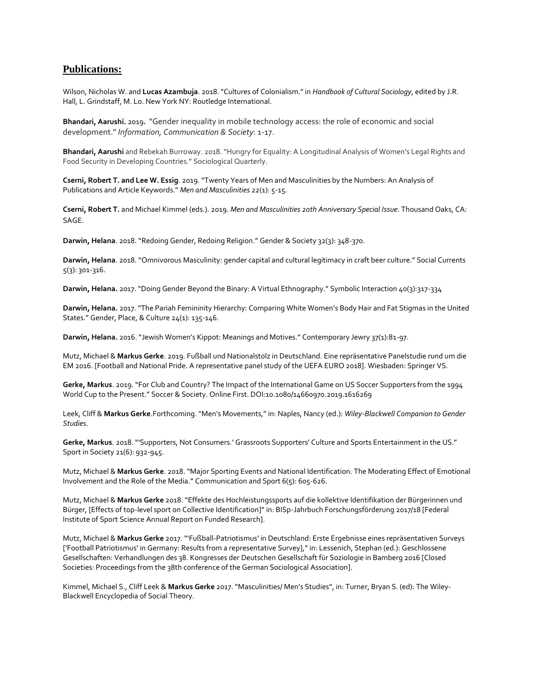## **Publications:**

Wilson, Nicholas W. and **Lucas Azambuja**. 2018. "Cultures of Colonialism." in *Handbook of Cultural Sociology*, edited by J.R. Hall, L. Grindstaff, M. Lo. New York NY: Routledge International.

**Bhandari, Aarushi.** 2019**.** "Gender inequality in mobile technology access: the role of economic and social development." *Information, Communication & Society*: 1-17.

**Bhandari, Aarushi** and Rebekah Burroway. 2018. "Hungry for Equality: A Longitudinal Analysis of Women's Legal Rights and Food Security in Developing Countries." Sociological Quarterly.

**Cserni, Robert T. and Lee W. Essig**. 2019. "Twenty Years of Men and Masculinities by the Numbers: An Analysis of Publications and Article Keywords." *Men and Masculinities 22*(1): 5-15.

**Cserni, Robert T.** and Michael Kimmel (eds.). 2019. *Men and Masculinities 20th Anniversary Special Issue*. Thousand Oaks, CA: SAGE.

**Darwin, Helana**. 2018. "Redoing Gender, Redoing Religion." Gender & Society 32(3): 348-370.

**Darwin, Helana**. 2018. "Omnivorous Masculinity: gender capital and cultural legitimacy in craft beer culture." Social Currents 5(3): 301-316.

**Darwin, Helana.** 2017. "Doing Gender Beyond the Binary: A Virtual Ethnography." Symbolic Interaction 40(3):317-334

**Darwin, Helana.** 2017. "The Pariah Femininity Hierarchy: Comparing White Women's Body Hair and Fat Stigmas in the United States." Gender, Place, & Culture 24(1): 135-146.

**Darwin, Helana.** 2016. "Jewish Women's Kippot: Meanings and Motives." Contemporary Jewry 37(1):81-97.

Mutz, Michael & **Markus Gerke**. 2019. Fußball und Nationalstolz in Deutschland. Eine repräsentative Panelstudie rund um die EM 2016. [Football and National Pride. A representative panel study of the UEFA EURO 2018]. Wiesbaden: Springer VS.

**Gerke, Markus**. 2019. "For Club and Country? The Impact of the International Game on US Soccer Supporters from the 1994 World Cup to the Present." Soccer & Society. Online First. DOI:10.1080/14660970.2019.1616269

Leek, Cliff & **Markus Gerke**.Forthcoming. "Men's Movements," in: Naples, Nancy (ed.): *Wiley-Blackwell Companion to Gender Studies*.

**Gerke, Markus**. 2018. "'Supporters, Not Consumers.' Grassroots Supporters' Culture and Sports Entertainment in the US." Sport in Society 21(6): 932-945.

Mutz, Michael & **Markus Gerke**. 2018. "Major Sporting Events and National Identification. The Moderating Effect of Emotional Involvement and the Role of the Media." Communication and Sport 6(5): 605-626.

Mutz, Michael & **Markus Gerke** 2018."Effekte des Hochleistungssports auf die kollektive Identifikation der Bürgerinnen und Bürger, [Effects of top-level sport on Collective Identification]" in: BISp-Jahrbuch Forschungsförderung 2017/18 [Federal Institute of Sport Science Annual Report on Funded Research].

Mutz, Michael & **Markus Gerke** 2017. "'Fußball-Patriotismus' in Deutschland: Erste Ergebnisse eines repräsentativen Surveys ['Football Patriotismus' in Germany: Results from a representative Survey]," in: Lessenich, Stephan (ed.): Geschlossene Gesellschaften: Verhandlungen des 38. Kongresses der Deutschen Gesellschaft für Soziologie in Bamberg 2016 [Closed Societies: Proceedings from the 38th conference of the German Sociological Association].

Kimmel, Michael S., Cliff Leek & **Markus Gerke** 2017. "Masculinities/ Men's Studies", in: Turner, Bryan S. (ed): The Wiley-Blackwell Encyclopedia of Social Theory.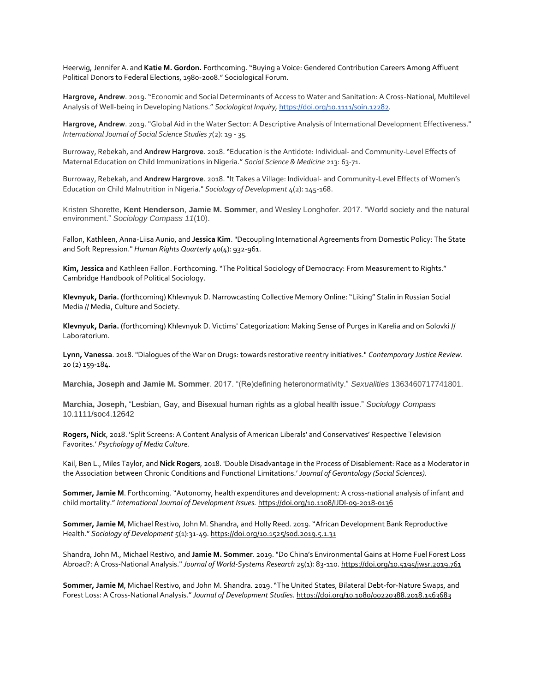Heerwig, Jennifer A. and **Katie M. Gordon.** Forthcoming. "Buying a Voice: Gendered Contribution Careers Among Affluent Political Donors to Federal Elections, 1980-2008." Sociological Forum.

**Hargrove, Andrew**. 2019. "Economic and Social Determinants of Access to Water and Sanitation: A Cross-National, Multilevel Analysis of Well-being in Developing Nations." *Sociological Inquiry,* <https://doi.org/10.1111/soin.12282>*.*

**Hargrove, Andrew**. 2019. "Global Aid in the Water Sector: A Descriptive Analysis of International Development Effectiveness." *International Journal of Social Science Studies 7*(2): 19 - 35*.*

Burroway, Rebekah, and **Andrew Hargrove**. 2018. "Education is the Antidote: Individual- and Community-Level Effects of Maternal Education on Child Immunizations in Nigeria." *Social Science & Medicine* 213: 63-71.

Burroway, Rebekah, and **Andrew Hargrove**. 2018. "It Takes a Village: Individual- and Community-Level Effects of Women's Education on Child Malnutrition in Nigeria." *Sociology of Development* 4(2): 145-168.

Kristen Shorette, **Kent Henderson**, **Jamie M. Sommer**, and Wesley Longhofer. 2017. "World society and the natural environment." *Sociology Compass 11*(10).

Fallon, Kathleen, Anna-Liisa Aunio, and **Jessica Kim**. "Decoupling International Agreements from Domestic Policy: The State and Soft Repression." *Human Rights Quarterly* 40(4): 932-961.

**Kim, Jessica** and Kathleen Fallon. Forthcoming. "The Political Sociology of Democracy: From Measurement to Rights." Cambridge Handbook of Political Sociology.

**Klevnyuk, Daria. (**forthcoming) Khlevnyuk D. Narrowcasting Collective Memory Online: "Liking" Stalin in Russian Social Media // Media, Culture and Society.

**Klevnyuk, Daria.** (forthcoming) Khlevnyuk D. Victims' Categorization: Making Sense of Purges in Karelia and on Solovki // Laboratorium.

**Lynn, Vanessa**. 2018. "Dialogues of the War on Drugs: towards restorative reentry initiatives." *Contemporary Justice Review*. 20 (2) 159-184.

**Marchia, Joseph and Jamie M. Sommer**. 2017. "(Re)defining heteronormativity." *Sexualities* 1363460717741801.

**Marchia, Joseph,** "Lesbian, Gay, and Bisexual human rights as a global health issue." *Sociology Compass* 10.1111/soc4.12642

**Rogers, Nick**, 2018. 'Split Screens: A Content Analysis of American Liberals' and Conservatives' Respective Television Favorites.' *Psychology of Media Culture.*

Kail, Ben L., Miles Taylor, and **Nick Rogers**, 2018. 'Double Disadvantage in the Process of Disablement: Race as a Moderator in the Association between Chronic Conditions and Functional Limitations.' *Journal of Gerontology (Social Sciences).*

**Sommer, Jamie M**. Forthcoming. "Autonomy, health expenditures and development: A cross-national analysis of infant and child mortality." *International Journal of Development Issue[s.](https://doi.org/10.1108/IJDI-09-2018-0136)* <https://doi.org/10.1108/IJDI-09-2018-0136>

**Sommer, Jamie M**, Michael Restivo, John M. Shandra, and Holly Reed. 2019. "African Development Bank Reproductive Health." *Sociology of Development* 5(1):31-49[.](https://doi.org/10.1525/sod.2019.5.1.31) <https://doi.org/10.1525/sod.2019.5.1.31>

Shandra, John M., Michael Restivo, and **Jamie M. Sommer**. 2019. "Do China's Environmental Gains at Home Fuel Forest Loss Abroad?: A Cross-National Analysis." *Journal of World-Systems Research* 25(1): 83-11[0.](https://doi.org/10.5195/jwsr.2019.761) <https://doi.org/10.5195/jwsr.2019.761>

**Sommer, Jamie M**, Michael Restivo, and John M. Shandra. 2019. "The United States, Bilateral Debt-for-Nature Swaps, and Forest Loss: A Cross-National Analysis." *Journal of Development Studie[s.](https://doi.org/10.1080/00220388.2018.1563683)* <https://doi.org/10.1080/00220388.2018.1563683>